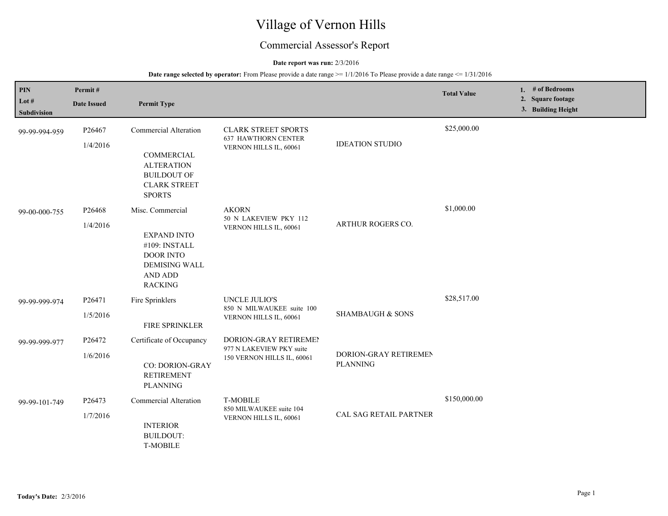# Village of Vernon Hills

## Commercial Assessor's Report

### **Date report was run:** 2/3/2016

**Date range selected by operator:** From Please provide a date range  $\ge$ = 1/1/2016 To Please provide a date range  $\le$  1/31/2016

| PIN<br>Lot #<br>Subdivision | Permit#<br><b>Date Issued</b> | <b>Permit Type</b>                                                                                                                      |                                                                                    |                                          | <b>Total Value</b> | 1. # of Bedrooms<br>2. Square footage<br>3. Building Height |  |
|-----------------------------|-------------------------------|-----------------------------------------------------------------------------------------------------------------------------------------|------------------------------------------------------------------------------------|------------------------------------------|--------------------|-------------------------------------------------------------|--|
| 99-99-994-959               | P26467<br>1/4/2016            | <b>Commercial Alteration</b><br>COMMERCIAL<br><b>ALTERATION</b><br><b>BUILDOUT OF</b><br><b>CLARK STREET</b><br><b>SPORTS</b>           | <b>CLARK STREET SPORTS</b><br><b>637 HAWTHORN CENTER</b><br>VERNON HILLS IL, 60061 | <b>IDEATION STUDIO</b>                   | \$25,000.00        |                                                             |  |
| 99-00-000-755               | P26468<br>1/4/2016            | Misc. Commercial<br><b>EXPAND INTO</b><br>#109: INSTALL<br><b>DOOR INTO</b><br><b>DEMISING WALL</b><br><b>AND ADD</b><br><b>RACKING</b> | <b>AKORN</b><br>50 N LAKEVIEW PKY 112<br>VERNON HILLS IL, 60061                    | ARTHUR ROGERS CO.                        | \$1,000.00         |                                                             |  |
| 99-99-999-974               | P26471<br>1/5/2016            | Fire Sprinklers<br>FIRE SPRINKLER                                                                                                       | <b>UNCLE JULIO'S</b><br>850 N MILWAUKEE suite 100<br>VERNON HILLS IL, 60061        | <b>SHAMBAUGH &amp; SONS</b>              | \$28,517.00        |                                                             |  |
| 99-99-999-977               | P26472<br>1/6/2016            | Certificate of Occupancy<br><b>CO: DORION-GRAY</b><br><b>RETIREMENT</b><br><b>PLANNING</b>                                              | DORION-GRAY RETIREMEN<br>977 N LAKEVIEW PKY suite<br>150 VERNON HILLS IL, 60061    | DORION-GRAY RETIREMEN<br><b>PLANNING</b> |                    |                                                             |  |
| 99-99-101-749               | P26473<br>1/7/2016            | Commercial Alteration<br><b>INTERIOR</b><br><b>BUILDOUT:</b><br><b>T-MOBILE</b>                                                         | <b>T-MOBILE</b><br>850 MILWAUKEE suite 104<br>VERNON HILLS IL, 60061               | CAL SAG RETAIL PARTNER                   | \$150,000.00       |                                                             |  |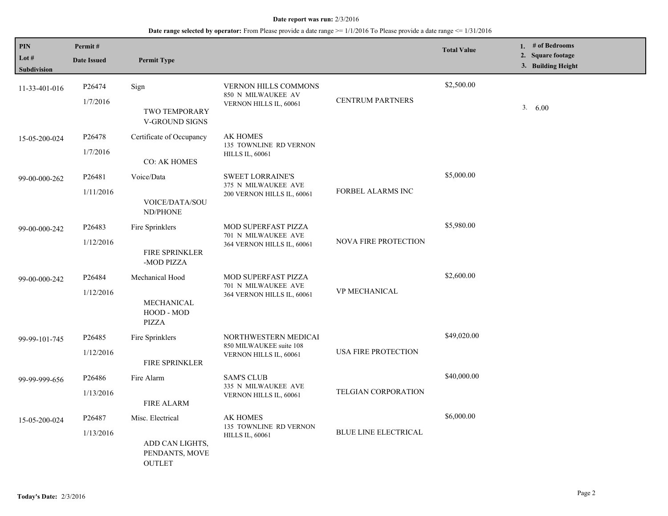#### **Date report was run:** 2/3/2016

## **Date range selected by operator:** From Please provide a date range >= 1/1/2016 To Please provide a date range <= 1/31/2016

| <b>PIN</b><br>Lot #<br>Subdivision | Permit#<br><b>Date Issued</b>   | <b>Permit Type</b>                                                     |                                                                                 |                            | <b>Total Value</b> | 1. # of Bedrooms<br>2. Square footage<br>3. Building Height |
|------------------------------------|---------------------------------|------------------------------------------------------------------------|---------------------------------------------------------------------------------|----------------------------|--------------------|-------------------------------------------------------------|
| 11-33-401-016                      | P26474<br>1/7/2016              | Sign<br>TWO TEMPORARY<br>V-GROUND SIGNS                                | VERNON HILLS COMMONS<br>850 N MILWAUKEE AV<br>VERNON HILLS IL, 60061            | <b>CENTRUM PARTNERS</b>    | \$2,500.00         | 3. 6.00                                                     |
| 15-05-200-024                      | P26478<br>1/7/2016              | Certificate of Occupancy<br><b>CO: AK HOMES</b>                        | <b>AK HOMES</b><br>135 TOWNLINE RD VERNON<br><b>HILLS IL, 60061</b>             |                            |                    |                                                             |
| 99-00-000-262                      | P26481<br>1/11/2016             | Voice/Data<br>VOICE/DATA/SOU<br><b>ND/PHONE</b>                        | <b>SWEET LORRAINE'S</b><br>375 N MILWAUKEE AVE<br>200 VERNON HILLS IL, 60061    | FORBEL ALARMS INC          | \$5,000.00         |                                                             |
| 99-00-000-242                      | P <sub>26483</sub><br>1/12/2016 | Fire Sprinklers<br><b>FIRE SPRINKLER</b><br>-MOD PIZZA                 | <b>MOD SUPERFAST PIZZA</b><br>701 N MILWAUKEE AVE<br>364 VERNON HILLS IL, 60061 | NOVA FIRE PROTECTION       | \$5,980.00         |                                                             |
| 99-00-000-242                      | P26484<br>1/12/2016             | Mechanical Hood<br>MECHANICAL<br>HOOD - MOD<br><b>PIZZA</b>            | MOD SUPERFAST PIZZA<br>701 N MILWAUKEE AVE<br>364 VERNON HILLS IL, 60061        | VP MECHANICAL              | \$2,600.00         |                                                             |
| 99-99-101-745                      | P26485<br>1/12/2016             | Fire Sprinklers<br>FIRE SPRINKLER                                      | NORTHWESTERN MEDICAI<br>850 MILWAUKEE suite 108<br>VERNON HILLS IL, 60061       | <b>USA FIRE PROTECTION</b> | \$49,020.00        |                                                             |
| 99-99-999-656                      | P26486<br>1/13/2016             | Fire Alarm<br><b>FIRE ALARM</b>                                        | <b>SAM'S CLUB</b><br>335 N MILWAUKEE AVE<br>VERNON HILLS IL, 60061              | <b>TELGIAN CORPORATION</b> | \$40,000.00        |                                                             |
| 15-05-200-024                      | P26487<br>1/13/2016             | Misc. Electrical<br>ADD CAN LIGHTS,<br>PENDANTS, MOVE<br><b>OUTLET</b> | <b>AK HOMES</b><br>135 TOWNLINE RD VERNON<br><b>HILLS IL, 60061</b>             | BLUE LINE ELECTRICAL       | \$6,000.00         |                                                             |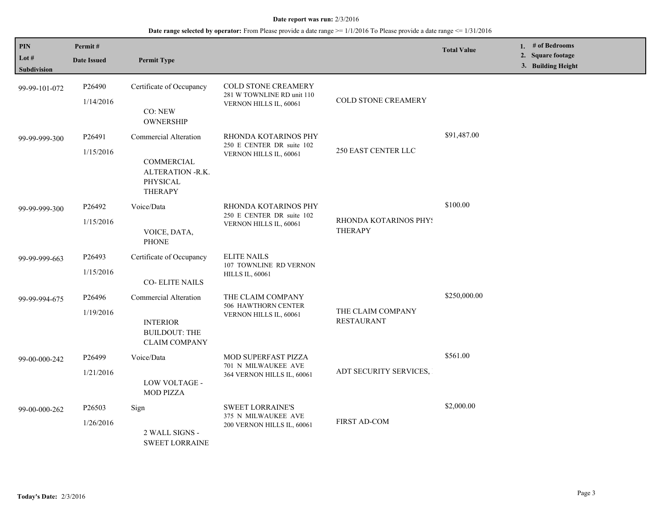#### **Date report was run:** 2/3/2016

### **Date range selected by operator:** From Please provide a date range  $\ge$ = 1/1/2016 To Please provide a date range  $\le$  1/31/2016

| <b>PIN</b><br>Lot $#$<br><b>Subdivision</b> | Permit#<br><b>Date Issued</b>   | <b>Permit Type</b>                                                                       |                                                                                    |                                         | <b>Total Value</b> | 1. # of Bedrooms<br>2. Square footage<br>3. Building Height |
|---------------------------------------------|---------------------------------|------------------------------------------------------------------------------------------|------------------------------------------------------------------------------------|-----------------------------------------|--------------------|-------------------------------------------------------------|
| 99-99-101-072                               | P26490<br>1/14/2016             | Certificate of Occupancy<br>CO: NEW<br>OWNERSHIP                                         | <b>COLD STONE CREAMERY</b><br>281 W TOWNLINE RD unit 110<br>VERNON HILLS IL, 60061 | COLD STONE CREAMERY                     |                    |                                                             |
| 99-99-999-300                               | P <sub>26491</sub><br>1/15/2016 | Commercial Alteration<br>COMMERCIAL<br>ALTERATION -R.K.<br>PHYSICAL<br><b>THERAPY</b>    | RHONDA KOTARINOS PHY<br>250 E CENTER DR suite 102<br>VERNON HILLS IL, 60061        | <b>250 EAST CENTER LLC</b>              | \$91,487.00        |                                                             |
| 99-99-999-300                               | P26492<br>1/15/2016             | Voice/Data<br>VOICE, DATA,<br><b>PHONE</b>                                               | RHONDA KOTARINOS PHY<br>250 E CENTER DR suite 102<br>VERNON HILLS IL, 60061        | RHONDA KOTARINOS PHYS<br><b>THERAPY</b> | \$100.00           |                                                             |
| 99-99-999-663                               | P26493<br>1/15/2016             | Certificate of Occupancy<br><b>CO-ELITE NAILS</b>                                        | <b>ELITE NAILS</b><br>107 TOWNLINE RD VERNON<br><b>HILLS IL, 60061</b>             |                                         |                    |                                                             |
| 99-99-994-675                               | P26496<br>1/19/2016             | Commercial Alteration<br><b>INTERIOR</b><br><b>BUILDOUT: THE</b><br><b>CLAIM COMPANY</b> | THE CLAIM COMPANY<br>506 HAWTHORN CENTER<br>VERNON HILLS IL, 60061                 | THE CLAIM COMPANY<br><b>RESTAURANT</b>  | \$250,000.00       |                                                             |
| 99-00-000-242                               | P26499<br>1/21/2016             | Voice/Data<br>LOW VOLTAGE -<br><b>MOD PIZZA</b>                                          | MOD SUPERFAST PIZZA<br>701 N MILWAUKEE AVE<br>364 VERNON HILLS IL, 60061           | ADT SECURITY SERVICES,                  | \$561.00           |                                                             |
| 99-00-000-262                               | P <sub>26503</sub><br>1/26/2016 | Sign<br>2 WALL SIGNS -<br><b>SWEET LORRAINE</b>                                          | <b>SWEET LORRAINE'S</b><br>375 N MILWAUKEE AVE<br>200 VERNON HILLS IL, 60061       | FIRST AD-COM                            | \$2,000.00         |                                                             |